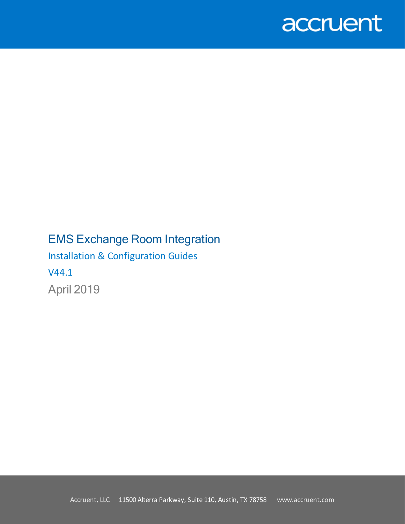### EMS Exchange Room Integration

Installation & Configuration Guides V44.1 April 2019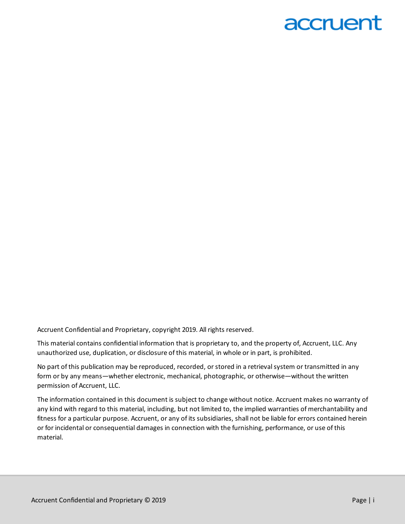Accruent Confidential and Proprietary, copyright 2019. All rights reserved.

This material contains confidential information that is proprietary to, and the property of, Accruent, LLC. Any unauthorized use, duplication, or disclosure of this material, in whole or in part, is prohibited.

No part of this publication may be reproduced, recorded, or stored in a retrieval system or transmitted in any form or by any means—whether electronic, mechanical, photographic, or otherwise—without the written permission of Accruent, LLC.

The information contained in this document is subject to change without notice. Accruent makes no warranty of any kind with regard to this material, including, but not limited to, the implied warranties of merchantability and fitness for a particular purpose. Accruent, or any of its subsidiaries, shall not be liable for errors contained herein or for incidental or consequential damages in connection with the furnishing, performance, or use of this material.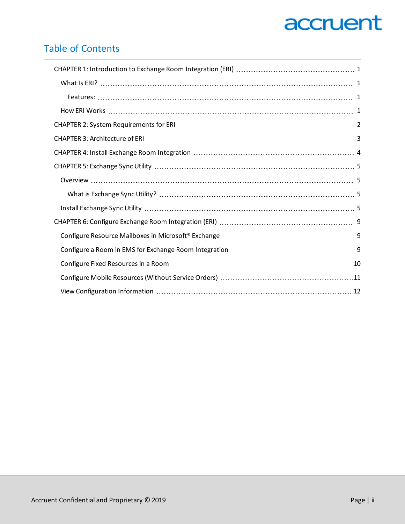### Table of Contents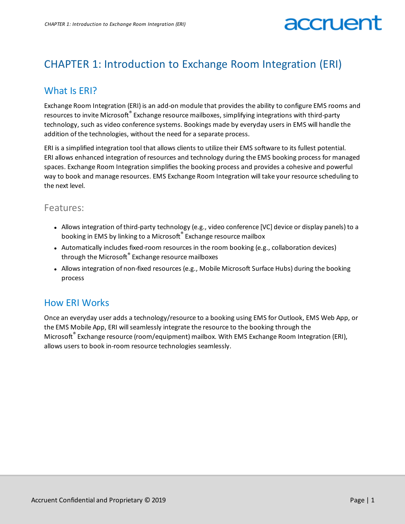# accruer

### <span id="page-3-1"></span><span id="page-3-0"></span>CHAPTER 1: Introduction to Exchange Room Integration (ERI)

### What Is ERI?

Exchange Room Integration (ERI) is an add-on module that provides the ability to configure EMS rooms and resources to invite Microsoft® Exchange resource mailboxes, simplifying integrations with third-party technology, such as video conference systems. Bookings made by everyday users in EMS will handle the addition of the technologies, without the need for a separate process.

ERI is a simplified integration tool that allows clients to utilize their EMS software to its fullest potential. ERI allows enhanced integration ofresources and technology during the EMS booking process for managed spaces. Exchange Room Integration simplifies the booking process and provides a cohesive and powerful way to book and manage resources. EMS Exchange Room Integration will take your resource scheduling to the next level.

#### <span id="page-3-2"></span>Features:

- Allows integration of third-party technology (e.g., video conference [VC] device or display panels) to a booking in EMS by linking to a Microsoft® Exchange resource mailbox
- Automatically includes fixed-room resources in the room booking (e.g., collaboration devices) through the Microsoft® Exchange resource mailboxes
- <span id="page-3-3"></span>• Allows integration of non-fixed resources (e.g., Mobile Microsoft Surface Hubs) during the booking process

#### How ERI Works

Once an everyday user adds a technology/resource to a booking using EMS for Outlook, EMS Web App, or the EMS Mobile App, ERI will seamlessly integrate the resource to the booking through the Microsoft® Exchange resource (room/equipment) mailbox. With EMS Exchange Room Integration (ERI), allows users to book in-room resource technologies seamlessly.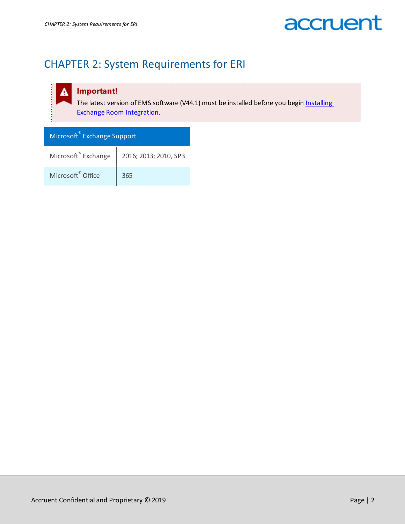### <span id="page-4-0"></span>CHAPTER 2: System Requirements for ERI

#### **Important!**

A

The latest version of EMS software (V44.1) must be installed before you begin [Installing](#page-6-0) Exchange Room [Integration](#page-6-0). . . . . . . . . . . . . . . . . . . .

| Microsoft <sup>®</sup> Exchange Support |                                             |  |  |  |  |  |  |
|-----------------------------------------|---------------------------------------------|--|--|--|--|--|--|
|                                         | Microsoft® Exchange   2016; 2013; 2010, SP3 |  |  |  |  |  |  |
| Microsoft <sup>®</sup> Office           | 365                                         |  |  |  |  |  |  |

. . . . . . . . . . . . . . . . . . .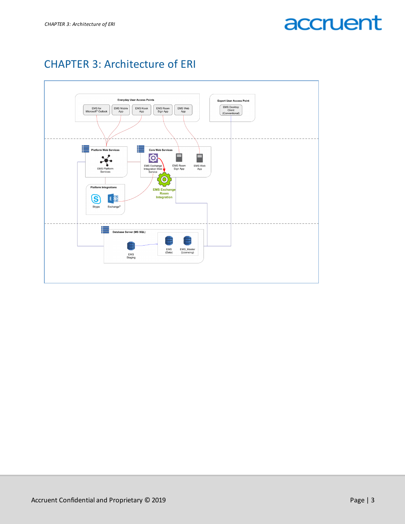### <span id="page-5-0"></span>CHAPTER 3: Architecture of ERI

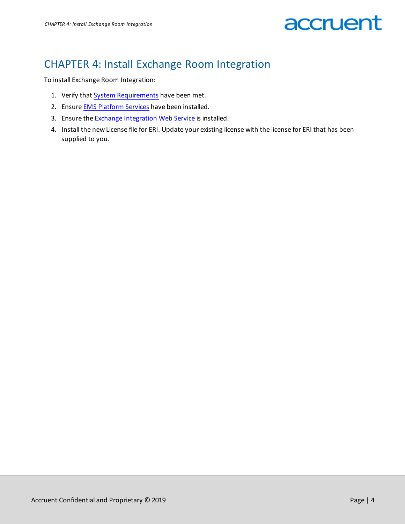### <span id="page-6-0"></span>CHAPTER 4: Install Exchange Room Integration

To install Exchange Room Integration:

- 1. Verify that System [Requirements](#page-4-0) have been met.
- 2. Ensure **EMS [Platform](https://docs.emssoftware.com/Content/EMSPlatformServices/InstallationGuide/InstallPS.html) Services** have been installed.
- 3. Ensure the Exchange [Integration](https://docs.emssoftware.com/Content/EMSforOutlook/IntegrationtoMicrosoftExchange/InstallUpgradeforEIWservice.htm) Web Service is installed.
- 4. Install the new License file for ERI. Update your existing license with the license for ERI that has been supplied to you.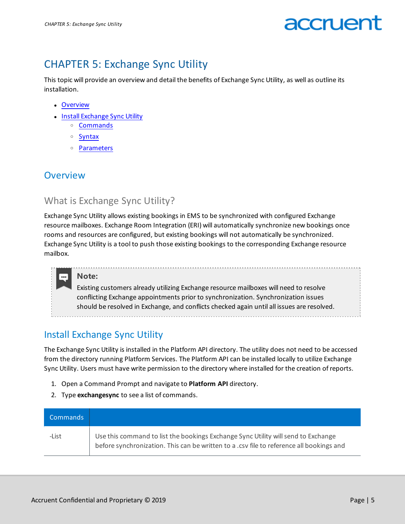# accruer

### <span id="page-7-0"></span>CHAPTER 5: Exchange Sync Utility

This topic will provide an overview and detail the benefits of Exchange Sync Utility, as well as outline its installation.

- [Overview](#page-7-1)
- Install [Exchange](#page-7-3) Sync Utility
	- <sup>o</sup> [Commands](#page-7-4)
	- <sup>o</sup> [Syntax](#page-8-0)
	- <sup>o</sup> [Parameters](#page-8-1)

### <span id="page-7-2"></span><span id="page-7-1"></span>**Overview**

### What is Exchange Sync Utility?

Exchange Sync Utility allows existing bookings in EMS to be synchronized with configured Exchange resource mailboxes. Exchange Room Integration (ERI) will automatically synchronize new bookings once rooms and resources are configured, but existing bookings will not automatically be synchronized. Exchange Sync Utility is a tool to push those existing bookings to the corresponding Exchange resource mailbox.

#### **Note:**

 $\cdots$ 

Existing customers already utilizing Exchange resource mailboxes will need to resolve conflicting Exchange appointments prior to synchronization. Synchronization issues should be resolved in Exchange, and conflicts checked again until all issues are resolved.

### <span id="page-7-3"></span>Install Exchange Sync Utility

The Exchange Sync Utility is installed in the Platform API directory. The utility does not need to be accessed from the directory running Platform Services. The Platform API can be installed locally to utilize Exchange Sync Utility. Users must have write permission to the directory where installed for the creation ofreports.

- 1. Open a Command Prompt and navigate to **Platform API** directory.
- 2. Type **exchangesync** to see a list of commands.

<span id="page-7-4"></span>

| Commands' |                                                                                                                                                                               |
|-----------|-------------------------------------------------------------------------------------------------------------------------------------------------------------------------------|
| -List     | Use this command to list the bookings Exchange Sync Utility will send to Exchange<br>before synchronization. This can be written to a .csv file to reference all bookings and |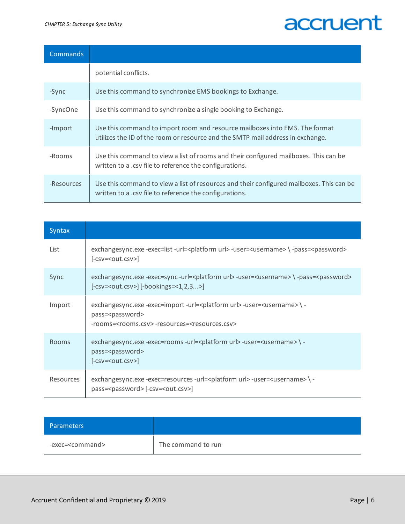| <b>Commands</b> |                                                                                                                                                               |
|-----------------|---------------------------------------------------------------------------------------------------------------------------------------------------------------|
|                 | potential conflicts.                                                                                                                                          |
| -Sync           | Use this command to synchronize EMS bookings to Exchange.                                                                                                     |
| -SyncOne        | Use this command to synchronize a single booking to Exchange.                                                                                                 |
| -Import         | Use this command to import room and resource mailboxes into EMS. The format<br>utilizes the ID of the room or resource and the SMTP mail address in exchange. |
| -Rooms          | Use this command to view a list of rooms and their configured mailboxes. This can be<br>written to a .csv file to reference the configurations.               |
| -Resources      | Use this command to view a list of resources and their configured mailboxes. This can be<br>written to a .csv file to reference the configurations.           |

<span id="page-8-0"></span>

| Syntax           |                                                                                                                                                                                                               |
|------------------|---------------------------------------------------------------------------------------------------------------------------------------------------------------------------------------------------------------|
| List             | exchangesync.exe-exec=list-url= <platform url="">-user=<username>\-pass=<password><br/><math>[-csv = <math>out.csv</math>)</math></password></username></platform>                                            |
| Sync             | exchangesync.exe-exec=sync-url= <platform url="">-user=<username>\-pass=<password><br/>[-csv=<out.csv>] [-bookings=&lt;1,2,3&gt;]</out.csv></password></username></platform>                                  |
| Import           | exchangesync.exe -exec=import -url= <platform url=""> -user=<username> \ -<br/>pass=<password><br/>-rooms=<rooms.csv> -resources=<resources.csv></resources.csv></rooms.csv></password></username></platform> |
| <b>Rooms</b>     | exchangesync.exe -exec=rooms -url= <platform url=""> -user=<username> \ -<br/>pass=<password><br/><math>[ -csv = <math>out.csv</math>]</math></password></username></platform>                                |
| <b>Resources</b> | exchangesync.exe -exec=resources -url= <platform url=""> -user=<username> \ -<br/>pass=<password>[-csv=<out.csv>]</out.csv></password></username></platform>                                                  |

<span id="page-8-1"></span>

| Parameters        |                    |
|-------------------|--------------------|
| -exec= <command/> | The command to run |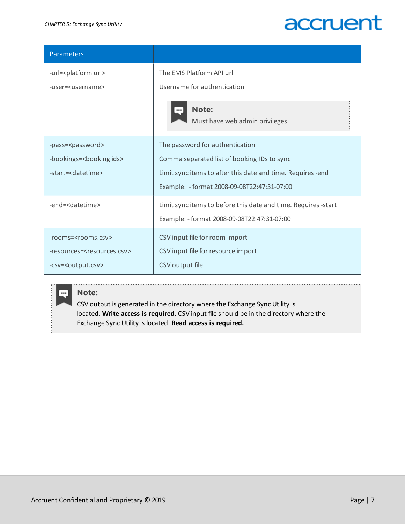| Parameters                                                                                                        |                                                                                                                                                                                              |
|-------------------------------------------------------------------------------------------------------------------|----------------------------------------------------------------------------------------------------------------------------------------------------------------------------------------------|
| -url= <platform url=""><br/>-user=<username></username></platform>                                                | The EMS Platform API url<br>Username for authentication<br>Note:<br><br>Must have web admin privileges.                                                                                      |
| -pass= <password><br/>-bookings=<booking ids=""><br/>-start=<datetime></datetime></booking></password>            | The password for authentication<br>Comma separated list of booking IDs to sync<br>Limit sync items to after this date and time. Requires -end<br>Example: - format 2008-09-08T22:47:31-07:00 |
| -end= <datetime></datetime>                                                                                       | Limit syncitems to before this date and time. Requires -start<br>Example: - format 2008-09-08T22:47:31-07:00                                                                                 |
| -rooms= <rooms.csv><br/>-resources=<resources.csv><br/>-csv=<output.csv></output.csv></resources.csv></rooms.csv> | CSV input file for room import<br>CSV input file for resource import<br>CSV output file                                                                                                      |



#### **Note:**

CSV output is generated in the directory where the Exchange Sync Utility is located. **Write access is required.** CSV input file should be in the directory where the Exchange Sync Utility is located. **Read access is required.**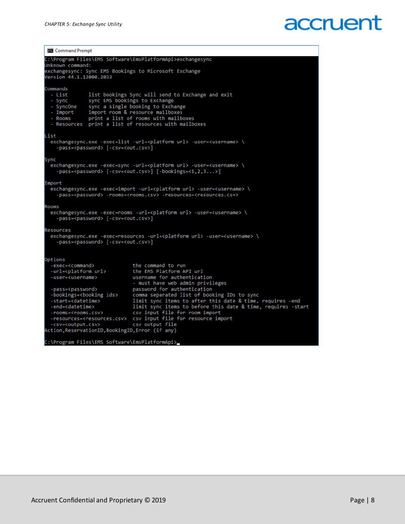**EN** Command Prompt

| <b>Bar Command Prompt</b>                                                                                                                                         |                                                                                                                                                                                                          |
|-------------------------------------------------------------------------------------------------------------------------------------------------------------------|----------------------------------------------------------------------------------------------------------------------------------------------------------------------------------------------------------|
| C:\Program Files\EMS Software\EmsPlatformApi>exchangesync<br>Unknown command:<br>exchangesync: Sync EMS Bookings to Microsoft Exchange<br>Version 44.1.12000.2033 |                                                                                                                                                                                                          |
|                                                                                                                                                                   |                                                                                                                                                                                                          |
| Commands<br>- List<br>- Sync<br>- SyncOne<br>- Import<br>- Rooms<br>- Resources print a list of resources with mailboxes                                          | list bookings Sync will send to Exchange and exit<br>sync EMS bookings to Exchange<br>sync a single booking to Exchange<br>import room & resource mailboxes<br>print a list of rooms with mailboxes      |
| List                                                                                                                                                              |                                                                                                                                                                                                          |
| -pass= <password> [-csv=<out.csv>]</out.csv></password>                                                                                                           | exchangesync.exe -exec=list -url= <platform url=""> -user=<username> \</username></platform>                                                                                                             |
| Sync                                                                                                                                                              |                                                                                                                                                                                                          |
|                                                                                                                                                                   | exchangesync.exe -exec=sync -url= <platform url=""> -user=<username> \<br/>-pass=<password> [-csv=<out.csv>] [-bookings=&lt;1,2,3&gt;]</out.csv></password></username></platform>                        |
| Import                                                                                                                                                            |                                                                                                                                                                                                          |
|                                                                                                                                                                   | exchangesync.exe -exec=import -url= <platform url=""> -user=<username> \<br/>-pass=<password> -rooms=<rooms.csv> -resources=<resources.csv></resources.csv></rooms.csv></password></username></platform> |
| Rooms                                                                                                                                                             |                                                                                                                                                                                                          |
| -pass= <password> [-csv=<out.csv>]</out.csv></password>                                                                                                           | exchangesync.exe -exec=rooms -url= <platform url=""> -user=<username> \</username></platform>                                                                                                            |
| <b>Resources</b>                                                                                                                                                  |                                                                                                                                                                                                          |
| -pass= <password> [-csv=<out.csv>]</out.csv></password>                                                                                                           | exchangesync.exe -exec=resources -url= <platform url=""> -user=<username> \</username></platform>                                                                                                        |
| Options                                                                                                                                                           |                                                                                                                                                                                                          |
| -exec= <command/>                                                                                                                                                 | the command to run                                                                                                                                                                                       |
| -url= <platform url=""></platform>                                                                                                                                | the EMS Platform API url                                                                                                                                                                                 |
| -user= <username></username>                                                                                                                                      | username for authentication<br>- must have web admin privileges                                                                                                                                          |
| -pass= <password></password>                                                                                                                                      | password for authentication                                                                                                                                                                              |
| -bookings= <booking ids=""></booking>                                                                                                                             | comma separated list of booking IDs to sync                                                                                                                                                              |
| -start= <datetime><br/>-end=<datetime></datetime></datetime>                                                                                                      | limit sync items to after this date & time, requires -end<br>limit sync items to before this date & time, requires -start                                                                                |
| $-$ rooms= $<$ rooms.csv>                                                                                                                                         | csv input file for room import                                                                                                                                                                           |
|                                                                                                                                                                   | -resources= <resources.csv> csv input file for resource import</resources.csv>                                                                                                                           |
| -csv= <output.csv></output.csv>                                                                                                                                   | csv output file                                                                                                                                                                                          |
| Action, ReservationID, BookingID, Error (if any)                                                                                                                  |                                                                                                                                                                                                          |
| C:\Program Files\FMS Software\FmsPlatformAni>                                                                                                                     |                                                                                                                                                                                                          |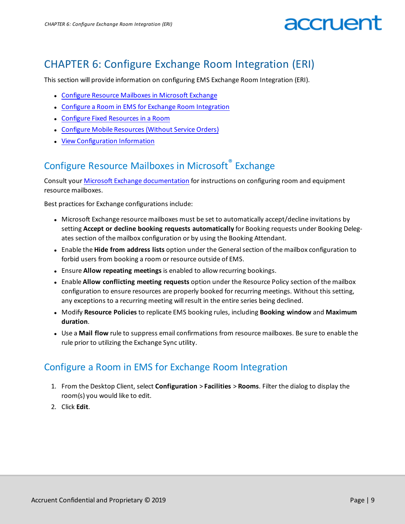### <span id="page-11-0"></span>CHAPTER 6: Configure Exchange Room Integration (ERI)

This section will provide information on configuring EMS Exchange Room Integration (ERI).

- Configure Resource Mailboxes in [Microsoft Exchange](#page-11-1)
- Configure a Room in EMS for Exchange Room [Integration](#page-11-2)
- Configure Fixed [Resources](#page-12-0) in a Room
- Configure Mobile [Resources](#page-13-0) (Without Service Orders)
- <span id="page-11-1"></span>• View [Configuration](#page-14-0) Information

### Configure Resource Mailboxes in Microsoft<sup>®</sup> Exchange

Consult your Microsoft Exchange [documentation](https://technet.microsoft.com/en-us/library/jj215781(v=exchg.160).aspx) for instructions on configuring room and equipment resource mailboxes.

Best practices for Exchange configurations include:

- Microsoft Exchange resource mailboxes must be set to automatically accept/decline invitations by setting **Accept or decline booking requests automatically** for Booking requests under Booking Delegates section of the mailbox configuration or by using the Booking Attendant.
- <sup>l</sup> Enable the **Hide from address lists** option under the Generalsection of the mailbox configuration to forbid users from booking a room or resource outside of EMS.
- <sup>l</sup> Ensure **Allow repeating meetings** is enabled to allow recurring bookings.
- <sup>l</sup> Enable **Allow conflicting meeting requests** option under the Resource Policy section of the mailbox configuration to ensure resources are properly booked for recurring meetings. Without this setting, any exceptions to a recurring meeting will result in the entire series being declined.
- <sup>l</sup> Modify **Resource Policies** to replicate EMS booking rules, including **Booking window** and **Maximum duration**.
- <span id="page-11-2"></span>**Use a Mail flow** rule to suppress email confirmations from resource mailboxes. Be sure to enable the rule prior to utilizing the Exchange Sync utility.

#### Configure a Room in EMS for Exchange Room Integration

- 1. From the Desktop Client, select **Configuration** > **Facilities** > **Rooms**. Filter the dialog to display the room(s) you would like to edit.
- 2. Click **Edit**.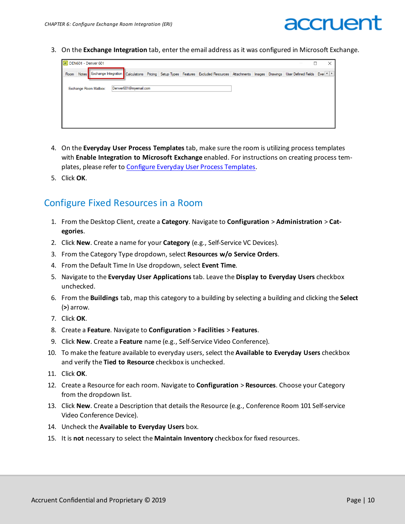3. On the **Exchange Integration** tab, enter the email address as it was configured in Microsoft Exchange.

| <b>DEN601 - Denver 601</b>                                                                                                                            |                       |  |  |  |
|-------------------------------------------------------------------------------------------------------------------------------------------------------|-----------------------|--|--|--|
| Room Notes Exchange Integration Calculations Pricing Setup Types Features Excluded Resources Attachments Images Drawings User Defined Fields Ever 1 . |                       |  |  |  |
| Exchange Room Mailbox:                                                                                                                                | Denver601@myemail.com |  |  |  |
|                                                                                                                                                       |                       |  |  |  |

- 4. On the **Everyday User Process Templates** tab, make sure the room is utilizing process templates with **Enable Integration to Microsoft Exchange** enabled. For instructions on creating process templates, please refer to Configure Everyday User Process [Templates](https://docs.emssoftware.com/Content/WebApp/A_V44.1/B_ConfigurationGuide/WebApp_CG_ConfigEverydayUserProcessTemps.html).
- <span id="page-12-0"></span>5. Click **OK**.

#### Configure Fixed Resources in a Room

- 1. From the Desktop Client, create a **Category**. Navigate to **Configuration** > **Administration** > **Categories**.
- 2. Click **New**. Create a name for your **Category** (e.g., Self-Service VC Devices).
- 3. From the Category Type dropdown, select **Resources w/o Service Orders**.
- 4. From the Default Time In Use dropdown, select **Event Time**.
- 5. Navigate to the **Everyday User Applications** tab. Leave the **Display to Everyday Users** checkbox unchecked.
- 6. From the **Buildings** tab, map this category to a building by selecting a building and clicking the **Select** (**>**) arrow.
- 7. Click **OK**.
- 8. Create a **Feature**. Navigate to **Configuration** > **Facilities** > **Features**.
- 9. Click **New**. Create a **Feature** name (e.g., Self-Service Video Conference).
- 10. To make the feature available to everyday users, select the **Available to Everyday Users** checkbox and verify the **Tied to Resource** checkbox is unchecked.
- 11. Click **OK**.
- 12. Create a Resource for each room. Navigate to **Configuration** > **Resources**. Choose your Category from the dropdown list.
- 13. Click **New**. Create a Description that details the Resource (e.g., Conference Room 101 Self-service Video Conference Device).
- 14. Uncheck the **Available to Everyday Users** box.
- 15. It is **not** necessary to select the **Maintain Inventory** checkbox for fixed resources.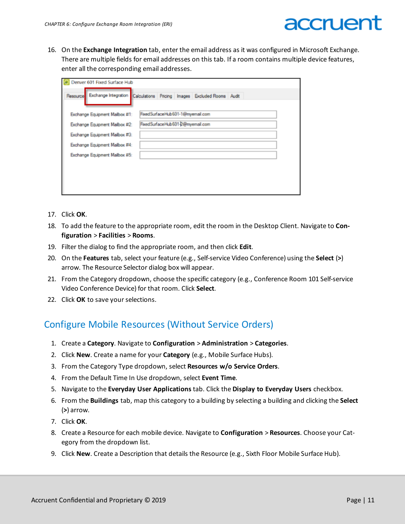16. On the **Exchange Integration** tab, enter the email address as it was configured in Microsoft Exchange. There are multiple fields for email addresses on this tab. If a room contains multiple device features, enter all the corresponding email addresses.

| Denver 601 Fixed Surface Hub   |                                                                                |
|--------------------------------|--------------------------------------------------------------------------------|
|                                | Resource Exchange Integration Calculations Pricing Images Excluded Rooms Audit |
| Exchange Equipment Mailbox #1: | FixedSurfaceHub601-1@myemail.com                                               |
| Exchange Equipment Mailbox #2: | FixedSurfaceHub601-2@myemail.com                                               |
| Exchange Equipment Mailbox #3: |                                                                                |
| Exchange Equipment Mailbox #4: |                                                                                |
| Exchange Equipment Mailbox #5: |                                                                                |
|                                |                                                                                |
|                                |                                                                                |
|                                |                                                                                |
|                                |                                                                                |

- 17. Click **OK**.
- 18. To add the feature to the appropriate room, edit the room in the Desktop Client. Navigate to **Configuration** > **Facilities** > **Rooms**.
- 19. Filter the dialog to find the appropriate room, and then click **Edit**.
- 20. On the **Features** tab, select your feature (e.g., Self-service Video Conference) using the **Select** (**>**) arrow. The Resource Selector dialog box will appear.
- 21. From the Category dropdown, choose the specific category (e.g., Conference Room 101 Self-service Video Conference Device) for that room. Click **Select**.
- <span id="page-13-0"></span>22. Click **OK** to save your selections.

#### Configure Mobile Resources (Without Service Orders)

- 1. Create a **Category**. Navigate to **Configuration** > **Administration** > **Categories**.
- 2. Click **New**. Create a name for your **Category** (e.g., Mobile Surface Hubs).
- 3. From the Category Type dropdown, select **Resources w/o Service Orders**.
- 4. From the Default Time In Use dropdown, select **Event Time**.
- 5. Navigate to the **Everyday User Applications** tab. Click the **Display to Everyday Users** checkbox.
- 6. From the **Buildings** tab, map this category to a building by selecting a building and clicking the **Select** (**>**) arrow.
- 7. Click **OK**.
- 8. Create a Resource for each mobile device. Navigate to **Configuration** > **Resources**. Choose your Category from the dropdown list.
- 9. Click **New**. Create a Description that details the Resource (e.g., Sixth Floor Mobile Surface Hub).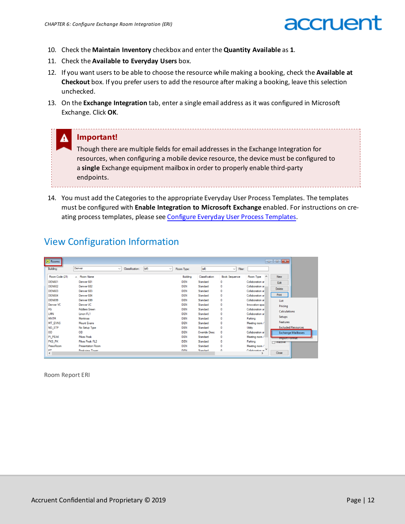- 10. Check the **Maintain Inventory** checkbox and enter the **Quantity Available** as **1**.
- 11. Check the **Available to Everyday Users** box.
- 12. If you want users to be able to choose the resource while making a booking, check the **Available at Checkout** box. If you prefer users to add the resource after making a booking, leave this selection unchecked.
- 13. On the **Exchange Integration** tab, enter a single email address as it was configured in Microsoft Exchange. Click **OK**.

| Important!                                                                                                                                                                                                                                                                  |
|-----------------------------------------------------------------------------------------------------------------------------------------------------------------------------------------------------------------------------------------------------------------------------|
| Though there are multiple fields for email addresses in the Exchange Integration for<br>resources, when configuring a mobile device resource, the device must be configured to<br>a single Exchange equipment mailbox in order to properly enable third-party<br>endpoints. |

14. You must add the Categories to the appropriate Everyday User Process Templates. The templates must be configured with **Enable Integration to Microsoft Exchange** enabled. For instructions on creating process templates, please see Configure Everyday User Process [Templates.](https://docs.emssoftware.com/Content/WebApp/A_V44.1/B_ConfigurationGuide/WebApp_CG_ConfigEverydayUserProcessTemps.html)

#### <span id="page-14-0"></span>View Configuration Information

| <b>Rooms</b>   |                          |              |                 |       |              |            |                |                         |                       | $\mathbf{x}$<br>$\Box$<br>- - |                           |
|----------------|--------------------------|--------------|-----------------|-------|--------------|------------|----------------|-------------------------|-----------------------|-------------------------------|---------------------------|
| Building:      | Denver                   | $\checkmark$ | Classification: | (a  ) | $\checkmark$ | Room Type: | (a  )          | Filter:<br>$\checkmark$ |                       |                               |                           |
| Room Code (21) | A Room Name              |              |                 |       |              | Building   | Classification | <b>Book Sequence</b>    | Room Type<br>$\wedge$ | <b>New</b>                    |                           |
| <b>DEN601</b>  | Denver <sub>601</sub>    |              |                 |       |              | <b>DEN</b> | Standard       | 0                       | Collaboration ar      | Edit                          |                           |
| <b>DEN602</b>  | Denver 602               |              |                 |       |              | <b>DEN</b> | Standard       | 0                       | Collaboration ar      | Delete                        |                           |
| <b>DEN603</b>  | Denver <sub>603</sub>    |              |                 |       |              | <b>DEN</b> | Standard       | 0                       | Collaboration ar      |                               |                           |
| <b>DEN604</b>  | Denver <sub>604</sub>    |              |                 |       |              | <b>DEN</b> | Standard       | $\bf{0}$                | Collaboration ar      | Print                         |                           |
| <b>DEN699</b>  | Denver 699               |              |                 |       |              | <b>DEN</b> | Standard       | 0                       | Collaboration ar      | List                          |                           |
| Denver VC      | Denver VC                |              |                 |       |              | <b>DEN</b> | Standard       | 0                       | Innovation spac       | Pricing                       |                           |
| FG             | <b>Fiddlers Green</b>    |              |                 |       |              | <b>DEN</b> | Standard       | $\bf{0}$                | Collaboration ar      | <b>Calculations</b>           |                           |
| <b>LMN</b>     | Limon FL1                |              |                 |       |              | <b>DEN</b> | Standard       | 0                       | Collaboration ar      |                               |                           |
| <b>MNTR</b>    | Montrose                 |              |                 |       |              | <b>DEN</b> | Standard       | $\mathbf 0$             | Parking               | <b>Setups</b>                 |                           |
| <b>MT_EVNS</b> | <b>Mount Evans</b>       |              |                 |       |              | <b>DEN</b> | Standard       | 0                       | Meeting room /        | <b>Features</b>               |                           |
| NO_STP         | No Setup Type            |              |                 |       |              | <b>DEN</b> | Standard       | $\bf{0}$                | <b>Utility</b>        |                               | <b>Excluded Resources</b> |
| OD             | OD                       |              |                 |       |              | <b>DEN</b> | Override Desc  | $\bf{0}$                | Collaboration ar      |                               | <b>Exchange Mailboxes</b> |
| PI_PEAK        | <b>Pikes Peak</b>        |              |                 |       |              | <b>DEN</b> | Standard       | 0                       | Meeting room /        | Import Format                 |                           |
| PKS_PK         | Pikes Peak FL2           |              |                 |       |              | <b>DEN</b> | Standard       | 0                       | Parking               | $\Box$ mactive                |                           |
| PresoRoom      | <b>Presentation Room</b> |              |                 |       |              | <b>DEN</b> | Standard       | 0                       | Meeting room /        |                               |                           |
| PT             | Peakview Tower           |              |                 |       |              | <b>DEN</b> | Standard       | U                       | Collaboration ar      |                               |                           |
| $\checkmark$   |                          |              |                 |       |              |            |                |                         |                       | Close                         |                           |

Room Report ERI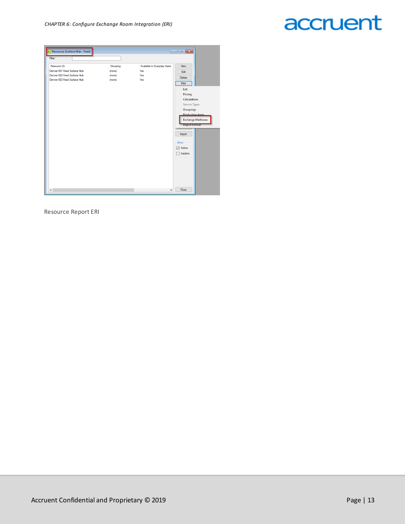| Filter:<br>Resource (3)<br>Available to Everyday Users<br>New<br>Grouping<br>Denver 601 Fixed Surface Hub<br>Yes<br>(none)<br>Edit<br>Denver 602 Fixed Surface Hub<br>Yes<br>(none)<br>Delete<br>Denver 603 Fixed Surface Hub<br>(none)<br>Yes<br>Print<br>List<br>Pricing<br><b>Calculations</b><br><b>Service Types</b><br>Groupings<br><b>Production Areas</b><br><b>Exchange Mailboxes</b><br>Import Format<br>Import<br>Show<br>$\nabla$ Active<br>Inactive<br>Close | Resources (Surface Hub - Fixed) |  |               |  |  |
|---------------------------------------------------------------------------------------------------------------------------------------------------------------------------------------------------------------------------------------------------------------------------------------------------------------------------------------------------------------------------------------------------------------------------------------------------------------------------|---------------------------------|--|---------------|--|--|
|                                                                                                                                                                                                                                                                                                                                                                                                                                                                           |                                 |  |               |  |  |
|                                                                                                                                                                                                                                                                                                                                                                                                                                                                           |                                 |  |               |  |  |
|                                                                                                                                                                                                                                                                                                                                                                                                                                                                           |                                 |  |               |  |  |
|                                                                                                                                                                                                                                                                                                                                                                                                                                                                           |                                 |  |               |  |  |
|                                                                                                                                                                                                                                                                                                                                                                                                                                                                           |                                 |  |               |  |  |
|                                                                                                                                                                                                                                                                                                                                                                                                                                                                           |                                 |  |               |  |  |
|                                                                                                                                                                                                                                                                                                                                                                                                                                                                           |                                 |  |               |  |  |
|                                                                                                                                                                                                                                                                                                                                                                                                                                                                           |                                 |  |               |  |  |
|                                                                                                                                                                                                                                                                                                                                                                                                                                                                           |                                 |  |               |  |  |
|                                                                                                                                                                                                                                                                                                                                                                                                                                                                           |                                 |  |               |  |  |
|                                                                                                                                                                                                                                                                                                                                                                                                                                                                           |                                 |  |               |  |  |
|                                                                                                                                                                                                                                                                                                                                                                                                                                                                           |                                 |  |               |  |  |
|                                                                                                                                                                                                                                                                                                                                                                                                                                                                           |                                 |  |               |  |  |
|                                                                                                                                                                                                                                                                                                                                                                                                                                                                           |                                 |  |               |  |  |
|                                                                                                                                                                                                                                                                                                                                                                                                                                                                           |                                 |  |               |  |  |
|                                                                                                                                                                                                                                                                                                                                                                                                                                                                           |                                 |  |               |  |  |
|                                                                                                                                                                                                                                                                                                                                                                                                                                                                           |                                 |  |               |  |  |
|                                                                                                                                                                                                                                                                                                                                                                                                                                                                           |                                 |  |               |  |  |
|                                                                                                                                                                                                                                                                                                                                                                                                                                                                           |                                 |  |               |  |  |
|                                                                                                                                                                                                                                                                                                                                                                                                                                                                           |                                 |  |               |  |  |
|                                                                                                                                                                                                                                                                                                                                                                                                                                                                           |                                 |  |               |  |  |
|                                                                                                                                                                                                                                                                                                                                                                                                                                                                           |                                 |  |               |  |  |
|                                                                                                                                                                                                                                                                                                                                                                                                                                                                           |                                 |  |               |  |  |
|                                                                                                                                                                                                                                                                                                                                                                                                                                                                           |                                 |  |               |  |  |
|                                                                                                                                                                                                                                                                                                                                                                                                                                                                           |                                 |  |               |  |  |
|                                                                                                                                                                                                                                                                                                                                                                                                                                                                           |                                 |  |               |  |  |
|                                                                                                                                                                                                                                                                                                                                                                                                                                                                           |                                 |  |               |  |  |
|                                                                                                                                                                                                                                                                                                                                                                                                                                                                           | $\checkmark$                    |  | $\rightarrow$ |  |  |

Resource Report ERI